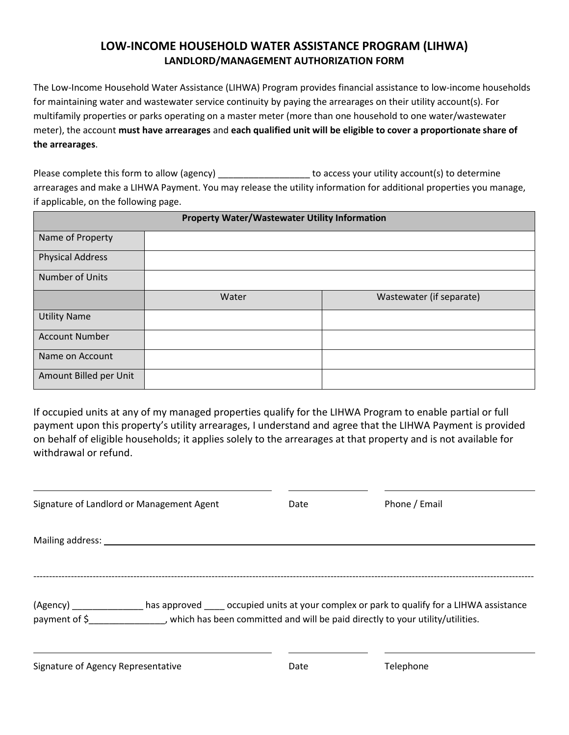## **LOW-INCOME HOUSEHOLD WATER ASSISTANCE PROGRAM (LIHWA) LANDLORD/MANAGEMENT AUTHORIZATION FORM**

The Low-Income Household Water Assistance (LIHWA) Program provides financial assistance to low-income households for maintaining water and wastewater service continuity by paying the arrearages on their utility account(s). For multifamily properties or parks operating on a master meter (more than one household to one water/wastewater meter), the account **must have arrearages** and **each qualified unit will be eligible to cover a proportionate share of the arrearages**.

Please complete this form to allow (agency) \_\_\_\_\_\_\_\_\_\_\_\_\_\_\_\_\_\_\_\_\_\_ to access your utility account(s) to determine arrearages and make a LIHWA Payment. You may release the utility information for additional properties you manage, if applicable, on the following page.

| <b>Property Water/Wastewater Utility Information</b> |       |                          |  |
|------------------------------------------------------|-------|--------------------------|--|
| Name of Property                                     |       |                          |  |
| <b>Physical Address</b>                              |       |                          |  |
| Number of Units                                      |       |                          |  |
|                                                      | Water | Wastewater (if separate) |  |
| <b>Utility Name</b>                                  |       |                          |  |
| <b>Account Number</b>                                |       |                          |  |
| Name on Account                                      |       |                          |  |
| Amount Billed per Unit                               |       |                          |  |

If occupied units at any of my managed properties qualify for the LIHWA Program to enable partial or full payment upon this property's utility arrearages, I understand and agree that the LIHWA Payment is provided on behalf of eligible households; it applies solely to the arrearages at that property and is not available for withdrawal or refund.

| Signature of Landlord or Management Agent                                                                 | Date | Phone / Email                                                                          |
|-----------------------------------------------------------------------------------------------------------|------|----------------------------------------------------------------------------------------|
|                                                                                                           |      |                                                                                        |
|                                                                                                           |      |                                                                                        |
| (Agency)<br>payment of \$ , which has been committed and will be paid directly to your utility/utilities. |      | has approved concupied units at your complex or park to qualify for a LIHWA assistance |

Signature of Agency Representative **Date** Date **Date** Telephone